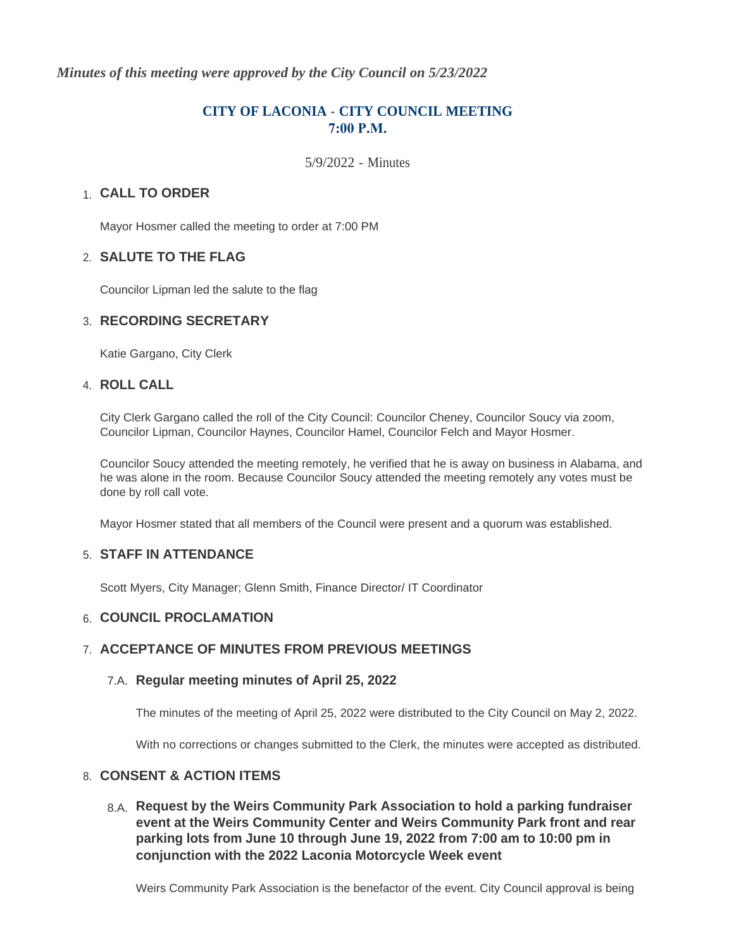*Minutes of this meeting were approved by the City Council on 5/23/2022*

# **CITY OF LACONIA - CITY COUNCIL MEETING**  $7:00 \text{ P.M.}$

5/9/2022 - Minutes

# **CALL TO ORDER**  1.

Mayor Hosmer called the meeting to order at 7:00 PM

## **SALUTE TO THE FLAG** 2.

Councilor Lipman led the salute to the flag

## **RECORDING SECRETARY** 3.

Katie Gargano, City Clerk

## **ROLL CALL** 4.

City Clerk Gargano called the roll of the City Council: Councilor Cheney, Councilor Soucy via zoom, Councilor Lipman, Councilor Haynes, Councilor Hamel, Councilor Felch and Mayor Hosmer.

Councilor Soucy attended the meeting remotely, he verified that he is away on business in Alabama, and he was alone in the room. Because Councilor Soucy attended the meeting remotely any votes must be done by roll call vote.

Mayor Hosmer stated that all members of the Council were present and a quorum was established.

## **STAFF IN ATTENDANCE** 5.

Scott Myers, City Manager; Glenn Smith, Finance Director/ IT Coordinator

## **6. COUNCIL PROCLAMATION**

### **ACCEPTANCE OF MINUTES FROM PREVIOUS MEETINGS** 7.

## **Regular meeting minutes of April 25, 2022** 7.A.

The minutes of the meeting of April 25, 2022 were distributed to the City Council on May 2, 2022.

With no corrections or changes submitted to the Clerk, the minutes were accepted as distributed.

## **CONSENT & ACTION ITEMS** 8.

**Request by the Weirs Community Park Association to hold a parking fundraiser**  8.A. **event at the Weirs Community Center and Weirs Community Park front and rear parking lots from June 10 through June 19, 2022 from 7:00 am to 10:00 pm in conjunction with the 2022 Laconia Motorcycle Week event**

Weirs Community Park Association is the benefactor of the event. City Council approval is being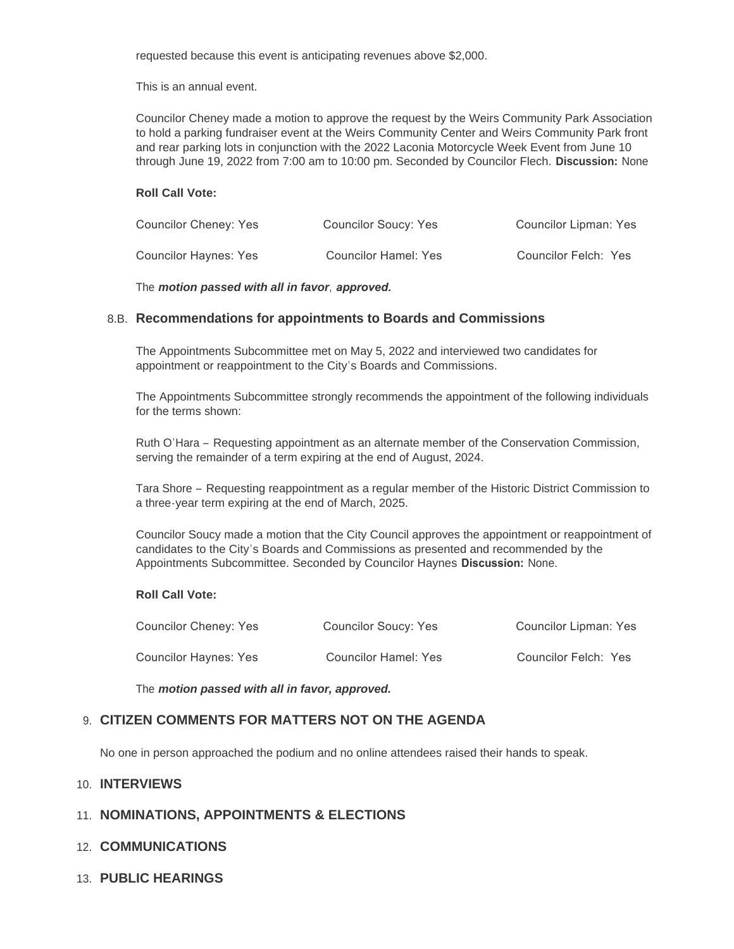requested because this event is anticipating revenues above \$2,000.

This is an annual event.

Councilor Cheney made a motion to approve the request by the Weirs Community Park Association to hold a parking fundraiser event at the Weirs Community Center and Weirs Community Park front and rear parking lots in conjunction with the 2022 Laconia Motorcycle Week Event from June 10 through June 19, 2022 from 7:00 am to 10:00 pm. Seconded by Councilor Flech. **Discussion:** None

#### **Roll Call Vote:**

| Councilor Cheney: Yes | Councilor Soucy: Yes        | <b>Councilor Lipman: Yes</b> |
|-----------------------|-----------------------------|------------------------------|
| Councilor Haynes: Yes | <b>Councilor Hamel: Yes</b> | Councilor Felch: Yes         |

The *motion passed with all in favor*, *approved.*

### **Recommendations for appointments to Boards and Commissions** 8.B.

The Appointments Subcommittee met on May 5, 2022 and interviewed two candidates for appointment or reappointment to the City's Boards and Commissions.

The Appointments Subcommittee strongly recommends the appointment of the following individuals for the terms shown:

Ruth O'Hara – Requesting appointment as an alternate member of the Conservation Commission, serving the remainder of a term expiring at the end of August, 2024.

Tara Shore – Requesting reappointment as a regular member of the Historic District Commission to a three-year term expiring at the end of March, 2025.

Councilor Soucy made a motion that the City Council approves the appointment or reappointment of candidates to the City's Boards and Commissions as presented and recommended by the Appointments Subcommittee. Seconded by Councilor Haynes **Discussion:** None.

#### **Roll Call Vote:**

| Councilor Cheney: Yes | Councilor Soucy: Yes | <b>Councilor Lipman: Yes</b> |
|-----------------------|----------------------|------------------------------|
| Councilor Haynes: Yes | Councilor Hamel: Yes | Councilor Felch: Yes         |

The *motion passed with all in favor, approved.*

### **CITIZEN COMMENTS FOR MATTERS NOT ON THE AGENDA** 9.

No one in person approached the podium and no online attendees raised their hands to speak.

#### **INTERVIEWS** 10.

### 11. NOMINATIONS, APPOINTMENTS & ELECTIONS

- **COMMUNICATIONS** 12.
- **PUBLIC HEARINGS** 13.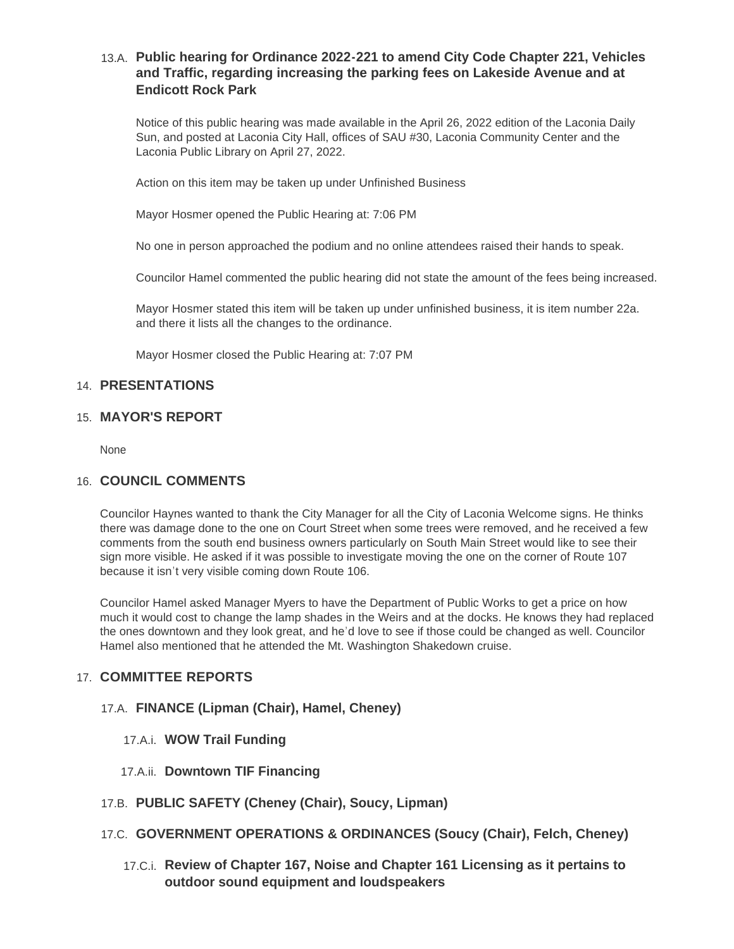# **Public hearing for Ordinance 2022-221 to amend City Code Chapter 221, Vehicles**  13.A. **and Traffic, regarding increasing the parking fees on Lakeside Avenue and at Endicott Rock Park**

Notice of this public hearing was made available in the April 26, 2022 edition of the Laconia Daily Sun, and posted at Laconia City Hall, offices of SAU #30, Laconia Community Center and the Laconia Public Library on April 27, 2022.

Action on this item may be taken up under Unfinished Business

Mayor Hosmer opened the Public Hearing at: 7:06 PM

No one in person approached the podium and no online attendees raised their hands to speak.

Councilor Hamel commented the public hearing did not state the amount of the fees being increased.

Mayor Hosmer stated this item will be taken up under unfinished business, it is item number 22a. and there it lists all the changes to the ordinance.

Mayor Hosmer closed the Public Hearing at: 7:07 PM

## **PRESENTATIONS** 14.

## **MAYOR'S REPORT** 15.

None

## **COUNCIL COMMENTS** 16.

Councilor Haynes wanted to thank the City Manager for all the City of Laconia Welcome signs. He thinks there was damage done to the one on Court Street when some trees were removed, and he received a few comments from the south end business owners particularly on South Main Street would like to see their sign more visible. He asked if it was possible to investigate moving the one on the corner of Route 107 because it isn't very visible coming down Route 106.

Councilor Hamel asked Manager Myers to have the Department of Public Works to get a price on how much it would cost to change the lamp shades in the Weirs and at the docks. He knows they had replaced the ones downtown and they look great, and he'd love to see if those could be changed as well. Councilor Hamel also mentioned that he attended the Mt. Washington Shakedown cruise.

# **COMMITTEE REPORTS** 17.

### **FINANCE (Lipman (Chair), Hamel, Cheney)** 17.A.

- **WOW Trail Funding** 17.A.i.
- 17.A.ii. Downtown TIF Financing
- **PUBLIC SAFETY (Cheney (Chair), Soucy, Lipman)** 17.B.
- **GOVERNMENT OPERATIONS & ORDINANCES (Soucy (Chair), Felch, Cheney)** 17.C.
	- **Review of Chapter 167, Noise and Chapter 161 Licensing as it pertains to**  17.C.i. **outdoor sound equipment and loudspeakers**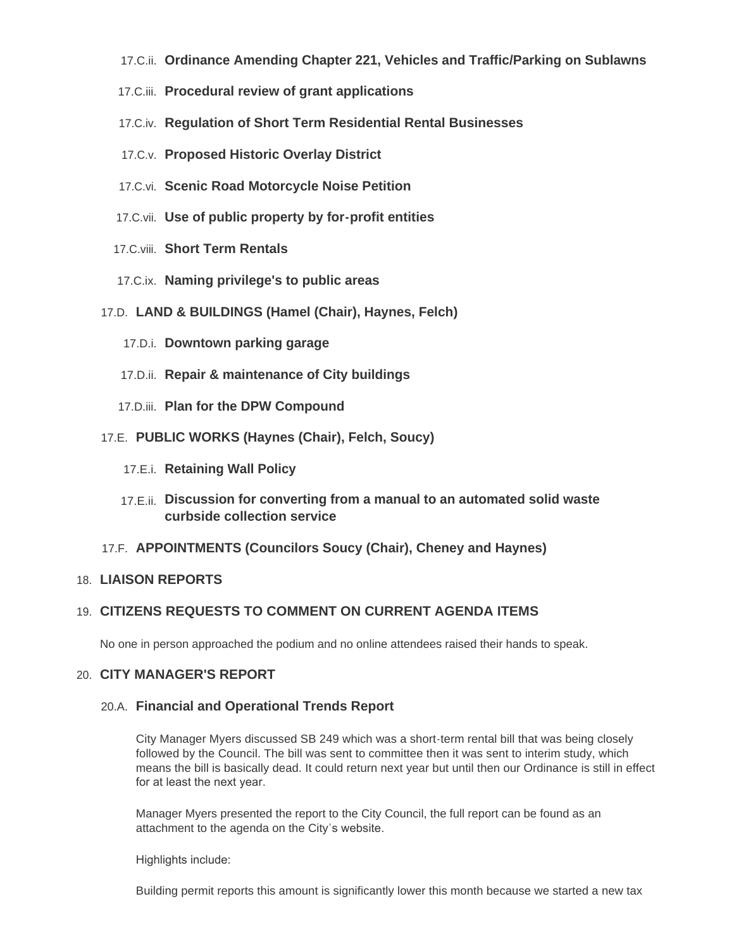- **Ordinance Amending Chapter 221, Vehicles and Traffic/Parking on Sublawns** 17.C.ii.
- **Procedural review of grant applications** 17.C.iii.
- **Regulation of Short Term Residential Rental Businesses** 17.C.iv.
- **Proposed Historic Overlay District** 17.C.v.
- 17.C.vi. Scenic Road Motorcycle Noise Petition
- **Use of public property by for-profit entities** 17.C.vii.
- 17.C.viii. Short Term Rentals
- **Naming privilege's to public areas** 17.C.ix.
- **LAND & BUILDINGS (Hamel (Chair), Haynes, Felch)** 17.D.
	- 17.D.i. Downtown parking garage
	- 17.D.ii. Repair & maintenance of City buildings
	- 17.D.iii. Plan for the DPW Compound
- **PUBLIC WORKS (Haynes (Chair), Felch, Soucy)** 17.E.
	- 17.E.i. Retaining Wall Policy
	- **Discussion for converting from a manual to an automated solid waste**  17.E.ii. **curbside collection service**
- **APPOINTMENTS (Councilors Soucy (Chair), Cheney and Haynes)** 17.F.

### **LIAISON REPORTS** 18.

# **CITIZENS REQUESTS TO COMMENT ON CURRENT AGENDA ITEMS** 19.

No one in person approached the podium and no online attendees raised their hands to speak.

### **CITY MANAGER'S REPORT** 20.

### **Financial and Operational Trends Report** 20.A.

City Manager Myers discussed SB 249 which was a short-term rental bill that was being closely followed by the Council. The bill was sent to committee then it was sent to interim study, which means the bill is basically dead. It could return next year but until then our Ordinance is still in effect for at least the next year.

Manager Myers presented the report to the City Council, the full report can be found as an attachment to the agenda on the City's website.

Highlights include:

Building permit reports this amount is significantly lower this month because we started a new tax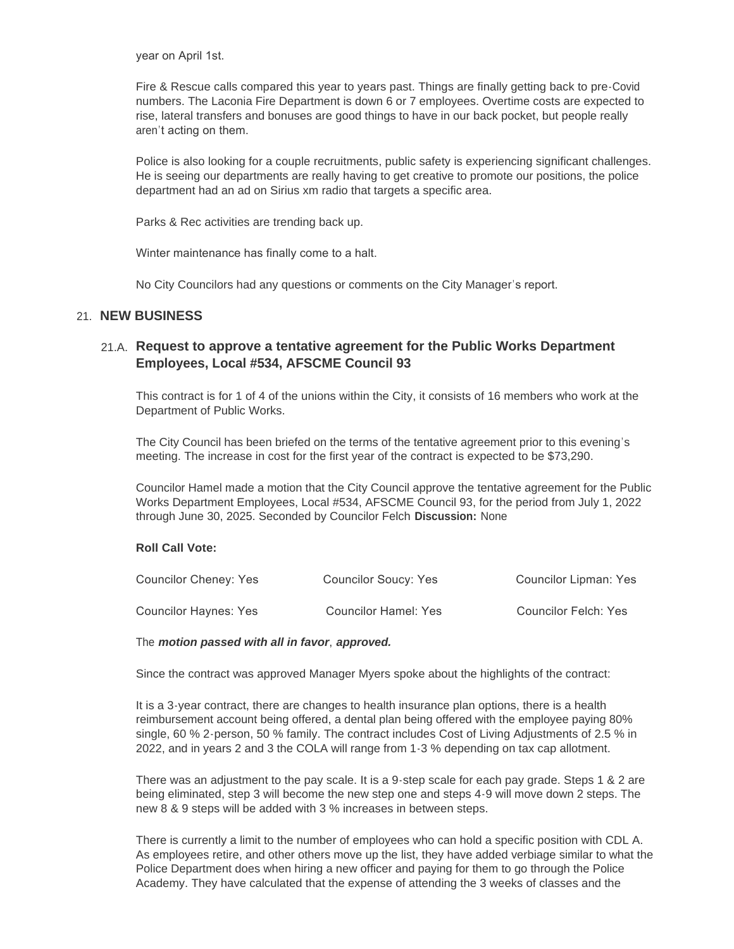year on April 1st.

Fire & Rescue calls compared this year to years past. Things are finally getting back to pre-Covid numbers. The Laconia Fire Department is down 6 or 7 employees. Overtime costs are expected to rise, lateral transfers and bonuses are good things to have in our back pocket, but people really aren't acting on them.

Police is also looking for a couple recruitments, public safety is experiencing significant challenges. He is seeing our departments are really having to get creative to promote our positions, the police department had an ad on Sirius xm radio that targets a specific area.

Parks & Rec activities are trending back up.

Winter maintenance has finally come to a halt.

No City Councilors had any questions or comments on the City Manager's report.

# **NEW BUSINESS** 21.

## **Request to approve a tentative agreement for the Public Works Department**  21.A. **Employees, Local #534, AFSCME Council 93**

This contract is for 1 of 4 of the unions within the City, it consists of 16 members who work at the Department of Public Works.

The City Council has been briefed on the terms of the tentative agreement prior to this evening's meeting. The increase in cost for the first year of the contract is expected to be \$73,290.

Councilor Hamel made a motion that the City Council approve the tentative agreement for the Public Works Department Employees, Local #534, AFSCME Council 93, for the period from July 1, 2022 through June 30, 2025. Seconded by Councilor Felch **Discussion:** None

#### **Roll Call Vote:**

| <b>Councilor Cheney: Yes</b> | Councilor Soucy: Yes | Councilor Lipman: Yes |
|------------------------------|----------------------|-----------------------|
| Councilor Haynes: Yes        | Councilor Hamel: Yes | Councilor Felch: Yes  |

#### The *motion passed with all in favor*, *approved.*

Since the contract was approved Manager Myers spoke about the highlights of the contract:

It is a 3-year contract, there are changes to health insurance plan options, there is a health reimbursement account being offered, a dental plan being offered with the employee paying 80% single, 60 % 2-person, 50 % family. The contract includes Cost of Living Adjustments of 2.5 % in 2022, and in years 2 and 3 the COLA will range from 1-3 % depending on tax cap allotment.

There was an adjustment to the pay scale. It is a 9-step scale for each pay grade. Steps 1 & 2 are being eliminated, step 3 will become the new step one and steps 4-9 will move down 2 steps. The new 8 & 9 steps will be added with 3 % increases in between steps.

There is currently a limit to the number of employees who can hold a specific position with CDL A. As employees retire, and other others move up the list, they have added verbiage similar to what the Police Department does when hiring a new officer and paying for them to go through the Police Academy. They have calculated that the expense of attending the 3 weeks of classes and the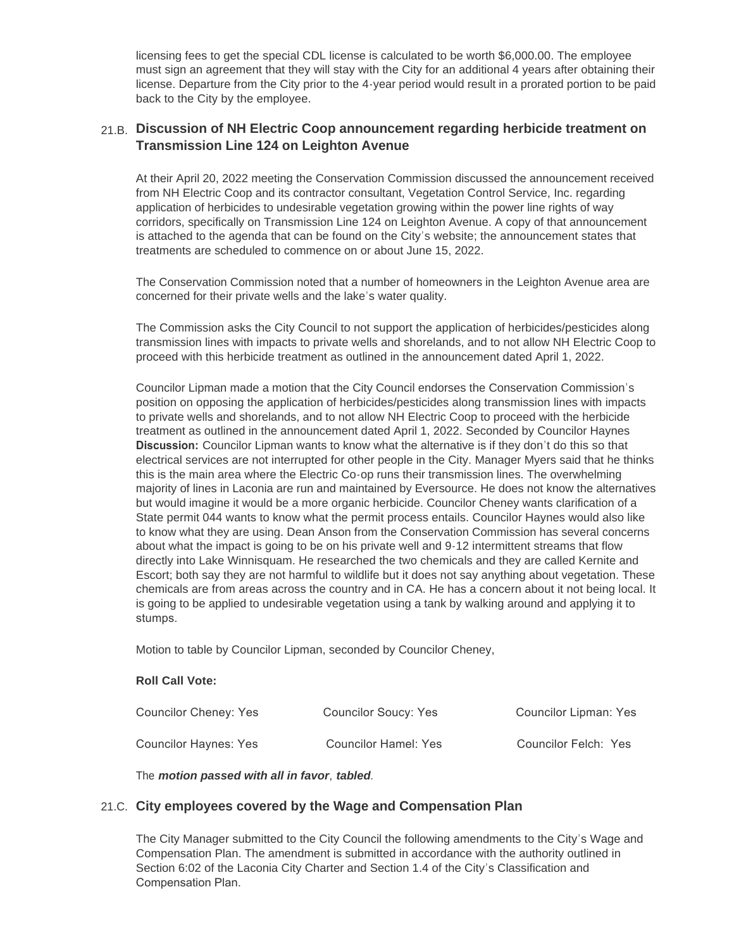licensing fees to get the special CDL license is calculated to be worth \$6,000.00. The employee must sign an agreement that they will stay with the City for an additional 4 years after obtaining their license. Departure from the City prior to the 4-year period would result in a prorated portion to be paid back to the City by the employee.

# **Discussion of NH Electric Coop announcement regarding herbicide treatment on**  21.B. **Transmission Line 124 on Leighton Avenue**

At their April 20, 2022 meeting the Conservation Commission discussed the announcement received from NH Electric Coop and its contractor consultant, Vegetation Control Service, Inc. regarding application of herbicides to undesirable vegetation growing within the power line rights of way corridors, specifically on Transmission Line 124 on Leighton Avenue. A copy of that announcement is attached to the agenda that can be found on the City's website; the announcement states that treatments are scheduled to commence on or about June 15, 2022.

The Conservation Commission noted that a number of homeowners in the Leighton Avenue area are concerned for their private wells and the lake's water quality.

The Commission asks the City Council to not support the application of herbicides/pesticides along transmission lines with impacts to private wells and shorelands, and to not allow NH Electric Coop to proceed with this herbicide treatment as outlined in the announcement dated April 1, 2022.

Councilor Lipman made a motion that the City Council endorses the Conservation Commission's position on opposing the application of herbicides/pesticides along transmission lines with impacts to private wells and shorelands, and to not allow NH Electric Coop to proceed with the herbicide treatment as outlined in the announcement dated April 1, 2022. Seconded by Councilor Haynes **Discussion:** Councilor Lipman wants to know what the alternative is if they don't do this so that electrical services are not interrupted for other people in the City. Manager Myers said that he thinks this is the main area where the Electric Co-op runs their transmission lines. The overwhelming majority of lines in Laconia are run and maintained by Eversource. He does not know the alternatives but would imagine it would be a more organic herbicide. Councilor Cheney wants clarification of a State permit 044 wants to know what the permit process entails. Councilor Haynes would also like to know what they are using. Dean Anson from the Conservation Commission has several concerns about what the impact is going to be on his private well and 9-12 intermittent streams that flow directly into Lake Winnisquam. He researched the two chemicals and they are called Kernite and Escort; both say they are not harmful to wildlife but it does not say anything about vegetation. These chemicals are from areas across the country and in CA. He has a concern about it not being local. It is going to be applied to undesirable vegetation using a tank by walking around and applying it to stumps.

Motion to table by Councilor Lipman, seconded by Councilor Cheney,

### **Roll Call Vote:**

| Councilor Cheney: Yes        | Councilor Soucy: Yes | Councilor Lipman: Yes |
|------------------------------|----------------------|-----------------------|
| <b>Councilor Haynes: Yes</b> | Councilor Hamel: Yes | Councilor Felch: Yes  |

The *motion passed with all in favor*, *tabled*.

## **City employees covered by the Wage and Compensation Plan** 21.C.

The City Manager submitted to the City Council the following amendments to the City's Wage and Compensation Plan. The amendment is submitted in accordance with the authority outlined in Section 6:02 of the Laconia City Charter and Section 1.4 of the City's Classification and Compensation Plan.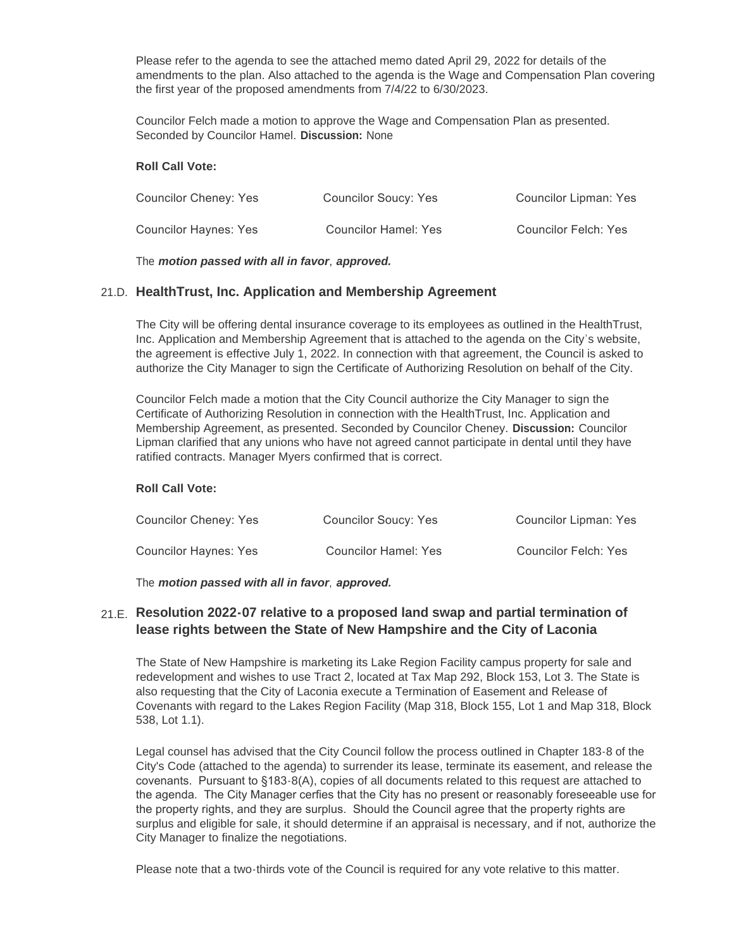Please refer to the agenda to see the attached memo dated April 29, 2022 for details of the amendments to the plan. Also attached to the agenda is the Wage and Compensation Plan covering the first year of the proposed amendments from 7/4/22 to 6/30/2023.

Councilor Felch made a motion to approve the Wage and Compensation Plan as presented. Seconded by Councilor Hamel. **Discussion:** None

#### **Roll Call Vote:**

| Councilor Cheney: Yes | Councilor Soucy: Yes | Councilor Lipman: Yes |
|-----------------------|----------------------|-----------------------|
| Councilor Haynes: Yes | Councilor Hamel: Yes | Councilor Felch: Yes  |

The *motion passed with all in favor*, *approved.*

## **HealthTrust, Inc. Application and Membership Agreement** 21.D.

The City will be offering dental insurance coverage to its employees as outlined in the HealthTrust, Inc. Application and Membership Agreement that is attached to the agenda on the City's website, the agreement is effective July 1, 2022. In connection with that agreement, the Council is asked to authorize the City Manager to sign the Certificate of Authorizing Resolution on behalf of the City.

Councilor Felch made a motion that the City Council authorize the City Manager to sign the Certificate of Authorizing Resolution in connection with the HealthTrust, Inc. Application and Membership Agreement, as presented. Seconded by Councilor Cheney. **Discussion:** Councilor Lipman clarified that any unions who have not agreed cannot participate in dental until they have ratified contracts. Manager Myers confirmed that is correct.

#### **Roll Call Vote:**

| Councilor Cheney: Yes | Councilor Soucy: Yes        | <b>Councilor Lipman: Yes</b> |
|-----------------------|-----------------------------|------------------------------|
| Councilor Haynes: Yes | <b>Councilor Hamel: Yes</b> | Councilor Felch: Yes         |

The *motion passed with all in favor*, *approved.*

## **Resolution 2022-07 relative to a proposed land swap and partial termination of**  21.E. **lease rights between the State of New Hampshire and the City of Laconia**

The State of New Hampshire is marketing its Lake Region Facility campus property for sale and redevelopment and wishes to use Tract 2, located at Tax Map 292, Block 153, Lot 3. The State is also requesting that the City of Laconia execute a Termination of Easement and Release of Covenants with regard to the Lakes Region Facility (Map 318, Block 155, Lot 1 and Map 318, Block 538, Lot 1.1).

Legal counsel has advised that the City Council follow the process outlined in Chapter 183-8 of the City's Code (attached to the agenda) to surrender its lease, terminate its easement, and release the covenants. Pursuant to §183-8(A), copies of all documents related to this request are attached to the agenda. The City Manager cerfies that the City has no present or reasonably foreseeable use for the property rights, and they are surplus. Should the Council agree that the property rights are surplus and eligible for sale, it should determine if an appraisal is necessary, and if not, authorize the City Manager to finalize the negotiations.

Please note that a two-thirds vote of the Council is required for any vote relative to this matter.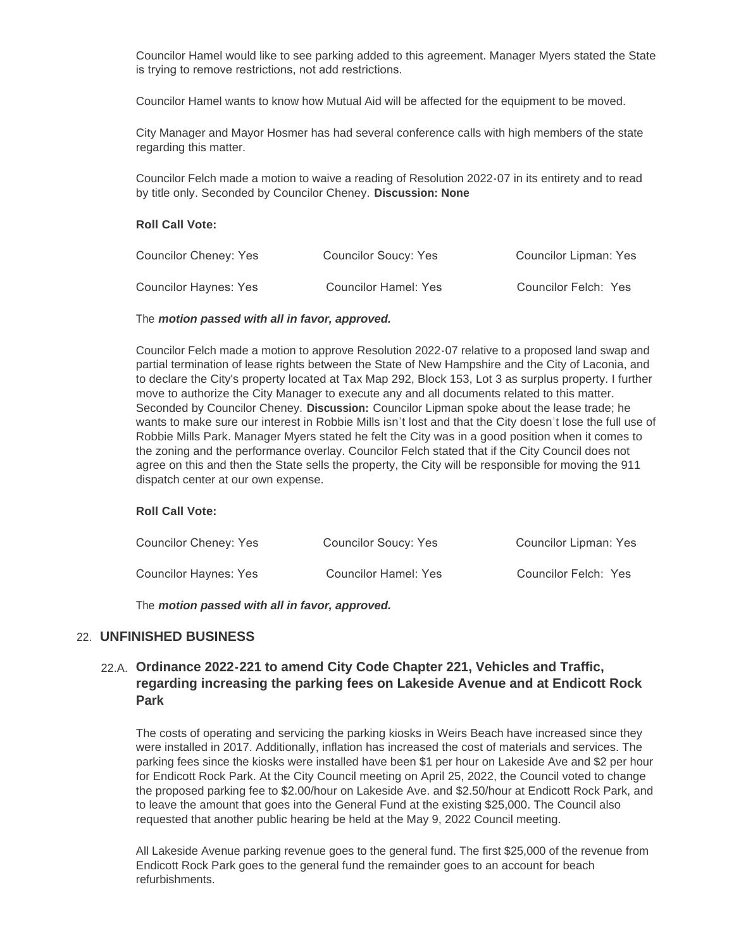Councilor Hamel would like to see parking added to this agreement. Manager Myers stated the State is trying to remove restrictions, not add restrictions.

Councilor Hamel wants to know how Mutual Aid will be affected for the equipment to be moved.

City Manager and Mayor Hosmer has had several conference calls with high members of the state regarding this matter.

Councilor Felch made a motion to waive a reading of Resolution 2022-07 in its entirety and to read by title only. Seconded by Councilor Cheney. **Discussion: None**

#### **Roll Call Vote:**

| Councilor Cheney: Yes | Councilor Soucy: Yes        | <b>Councilor Lipman: Yes</b> |
|-----------------------|-----------------------------|------------------------------|
| Councilor Haynes: Yes | <b>Councilor Hamel: Yes</b> | Councilor Felch: Yes         |

#### The *motion passed with all in favor, approved.*

Councilor Felch made a motion to approve Resolution 2022-07 relative to a proposed land swap and partial termination of lease rights between the State of New Hampshire and the City of Laconia, and to declare the City's property located at Tax Map 292, Block 153, Lot 3 as surplus property. I further move to authorize the City Manager to execute any and all documents related to this matter. Seconded by Councilor Cheney. **Discussion:** Councilor Lipman spoke about the lease trade; he wants to make sure our interest in Robbie Mills isn't lost and that the City doesn't lose the full use of Robbie Mills Park. Manager Myers stated he felt the City was in a good position when it comes to the zoning and the performance overlay. Councilor Felch stated that if the City Council does not agree on this and then the State sells the property, the City will be responsible for moving the 911 dispatch center at our own expense.

#### **Roll Call Vote:**

| Councilor Cheney: Yes | Councilor Soucy: Yes        | <b>Councilor Lipman: Yes</b> |
|-----------------------|-----------------------------|------------------------------|
| Councilor Haynes: Yes | <b>Councilor Hamel: Yes</b> | Councilor Felch: Yes         |

The *motion passed with all in favor, approved.*

## **UNFINISHED BUSINESS** 22.

## **Ordinance 2022-221 to amend City Code Chapter 221, Vehicles and Traffic,**  22.A. **regarding increasing the parking fees on Lakeside Avenue and at Endicott Rock Park**

The costs of operating and servicing the parking kiosks in Weirs Beach have increased since they were installed in 2017. Additionally, inflation has increased the cost of materials and services. The parking fees since the kiosks were installed have been \$1 per hour on Lakeside Ave and \$2 per hour for Endicott Rock Park. At the City Council meeting on April 25, 2022, the Council voted to change the proposed parking fee to \$2.00/hour on Lakeside Ave. and \$2.50/hour at Endicott Rock Park, and to leave the amount that goes into the General Fund at the existing \$25,000. The Council also requested that another public hearing be held at the May 9, 2022 Council meeting.

All Lakeside Avenue parking revenue goes to the general fund. The first \$25,000 of the revenue from Endicott Rock Park goes to the general fund the remainder goes to an account for beach refurbishments.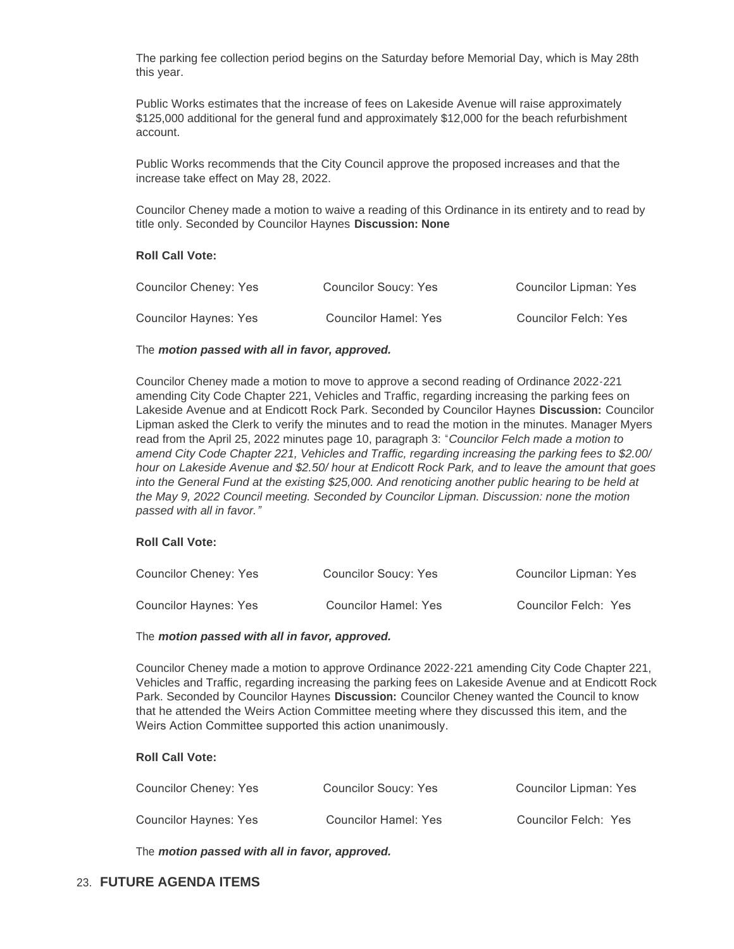The parking fee collection period begins on the Saturday before Memorial Day, which is May 28th this year.

Public Works estimates that the increase of fees on Lakeside Avenue will raise approximately \$125,000 additional for the general fund and approximately \$12,000 for the beach refurbishment account.

Public Works recommends that the City Council approve the proposed increases and that the increase take effect on May 28, 2022.

Councilor Cheney made a motion to waive a reading of this Ordinance in its entirety and to read by title only. Seconded by Councilor Haynes **Discussion: None**

#### **Roll Call Vote:**

| Councilor Cheney: Yes | Councilor Soucy: Yes | <b>Councilor Lipman: Yes</b> |
|-----------------------|----------------------|------------------------------|
| Councilor Haynes: Yes | Councilor Hamel: Yes | Councilor Felch: Yes         |

#### The *motion passed with all in favor, approved.*

Councilor Cheney made a motion to move to approve a second reading of Ordinance 2022-221 amending City Code Chapter 221, Vehicles and Traffic, regarding increasing the parking fees on Lakeside Avenue and at Endicott Rock Park. Seconded by Councilor Haynes **Discussion:** Councilor Lipman asked the Clerk to verify the minutes and to read the motion in the minutes. Manager Myers read from the April 25, 2022 minutes page 10, paragraph 3: "*Councilor Felch made a motion to amend City Code Chapter 221, Vehicles and Traffic, regarding increasing the parking fees to \$2.00/ hour on Lakeside Avenue and \$2.50/ hour at Endicott Rock Park, and to leave the amount that goes into the General Fund at the existing \$25,000. And renoticing another public hearing to be held at the May 9, 2022 Council meeting. Seconded by Councilor Lipman. Discussion: none the motion passed with all in favor."*

#### **Roll Call Vote:**

| Councilor Cheney: Yes | Councilor Soucy: Yes | <b>Councilor Lipman: Yes</b> |
|-----------------------|----------------------|------------------------------|
| Councilor Haynes: Yes | Councilor Hamel: Yes | Councilor Felch: Yes         |

#### The *motion passed with all in favor, approved.*

Councilor Cheney made a motion to approve Ordinance 2022-221 amending City Code Chapter 221, Vehicles and Traffic, regarding increasing the parking fees on Lakeside Avenue and at Endicott Rock Park. Seconded by Councilor Haynes **Discussion:** Councilor Cheney wanted the Council to know that he attended the Weirs Action Committee meeting where they discussed this item, and the Weirs Action Committee supported this action unanimously.

#### **Roll Call Vote:**

| Councilor Cheney: Yes | Councilor Soucy: Yes | Councilor Lipman: Yes |
|-----------------------|----------------------|-----------------------|
| Councilor Haynes: Yes | Councilor Hamel: Yes | Councilor Felch: Yes  |

The *motion passed with all in favor, approved.*

# **FUTURE AGENDA ITEMS** 23.